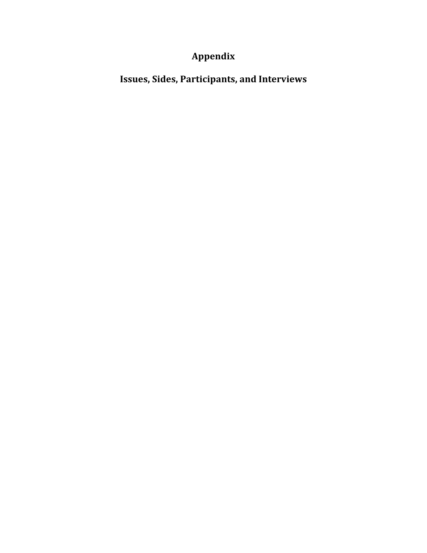## **Appendix**

**Issues, Sides, Participants, and Interviews**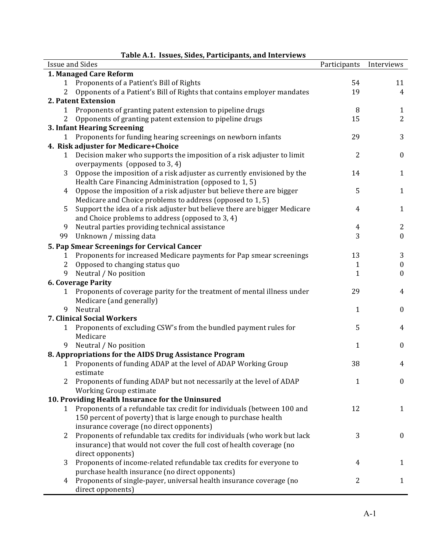| rabič A.I. Tssues, slues, i alticipalits, and filterviews<br><b>Issue and Sides</b> |                                                                           |                |                  |  |  |
|-------------------------------------------------------------------------------------|---------------------------------------------------------------------------|----------------|------------------|--|--|
|                                                                                     |                                                                           | Participants   | Interviews       |  |  |
|                                                                                     | 1. Managed Care Reform                                                    |                |                  |  |  |
| 1                                                                                   | Proponents of a Patient's Bill of Rights                                  | 54             | 11               |  |  |
| 2                                                                                   | Opponents of a Patient's Bill of Rights that contains employer mandates   | 19             | $\overline{4}$   |  |  |
| 2. Patent Extension                                                                 |                                                                           |                |                  |  |  |
| 1                                                                                   | Proponents of granting patent extension to pipeline drugs                 | 8              | $\mathbf{1}$     |  |  |
| 2                                                                                   | Opponents of granting patent extension to pipeline drugs                  | 15             | $\overline{2}$   |  |  |
|                                                                                     | 3. Infant Hearing Screening                                               |                |                  |  |  |
| $\mathbf{1}$                                                                        | Proponents for funding hearing screenings on newborn infants              | 29             | 3                |  |  |
|                                                                                     | 4. Risk adjuster for Medicare+Choice                                      |                |                  |  |  |
| $\mathbf{1}$                                                                        | Decision maker who supports the imposition of a risk adjuster to limit    | 2              | $\boldsymbol{0}$ |  |  |
|                                                                                     | overpayments (opposed to 3, 4)                                            |                |                  |  |  |
| 3                                                                                   | Oppose the imposition of a risk adjuster as currently envisioned by the   | 14             | $\mathbf{1}$     |  |  |
|                                                                                     | Health Care Financing Administration (opposed to 1, 5)                    |                |                  |  |  |
| 4                                                                                   | Oppose the imposition of a risk adjuster but believe there are bigger     | 5              | $\mathbf{1}$     |  |  |
|                                                                                     | Medicare and Choice problems to address (opposed to 1, 5)                 |                |                  |  |  |
| 5                                                                                   | Support the idea of a risk adjuster but believe there are bigger Medicare | $\overline{4}$ | $\mathbf{1}$     |  |  |
|                                                                                     | and Choice problems to address (opposed to 3, 4)                          |                |                  |  |  |
| 9                                                                                   | Neutral parties providing technical assistance                            | $\overline{4}$ | 2                |  |  |
| 99                                                                                  | Unknown / missing data                                                    | 3              | $\boldsymbol{0}$ |  |  |
|                                                                                     |                                                                           |                |                  |  |  |
|                                                                                     | 5. Pap Smear Screenings for Cervical Cancer                               |                |                  |  |  |
| 1                                                                                   | Proponents for increased Medicare payments for Pap smear screenings       | 13             | 3                |  |  |
| $\overline{2}$                                                                      | Opposed to changing status quo                                            | 1              | $\boldsymbol{0}$ |  |  |
| 9                                                                                   | Neutral / No position                                                     | 1              | $\boldsymbol{0}$ |  |  |
|                                                                                     | <b>6. Coverage Parity</b>                                                 |                |                  |  |  |
| 1                                                                                   | Proponents of coverage parity for the treatment of mental illness under   | 29             | 4                |  |  |
|                                                                                     | Medicare (and generally)                                                  |                |                  |  |  |
| 9                                                                                   | Neutral                                                                   | 1              | $\boldsymbol{0}$ |  |  |
|                                                                                     | 7. Clinical Social Workers                                                |                |                  |  |  |
| 1                                                                                   | Proponents of excluding CSW's from the bundled payment rules for          | 5              | 4                |  |  |
|                                                                                     | Medicare                                                                  |                |                  |  |  |
| 9                                                                                   | Neutral / No position                                                     | 1              | $\boldsymbol{0}$ |  |  |
|                                                                                     | 8. Appropriations for the AIDS Drug Assistance Program                    |                |                  |  |  |
| 1                                                                                   | Proponents of funding ADAP at the level of ADAP Working Group             | 38             | 4                |  |  |
|                                                                                     | estimate                                                                  |                |                  |  |  |
| 2                                                                                   | Proponents of funding ADAP but not necessarily at the level of ADAP       | 1              | $\boldsymbol{0}$ |  |  |
|                                                                                     | Working Group estimate                                                    |                |                  |  |  |
|                                                                                     |                                                                           |                |                  |  |  |
|                                                                                     | 10. Providing Health Insurance for the Uninsured                          |                |                  |  |  |
| 1                                                                                   | Proponents of a refundable tax credit for individuals (between 100 and    | 12             | $\mathbf{1}$     |  |  |
|                                                                                     | 150 percent of poverty) that is large enough to purchase health           |                |                  |  |  |
|                                                                                     | insurance coverage (no direct opponents)                                  |                |                  |  |  |
| 2                                                                                   | Proponents of refundable tax credits for individuals (who work but lack   | 3              | $\bf{0}$         |  |  |
|                                                                                     | insurance) that would not cover the full cost of health coverage (no      |                |                  |  |  |
|                                                                                     | direct opponents)                                                         |                |                  |  |  |
| 3                                                                                   | Proponents of income-related refundable tax credits for everyone to       | 4              | 1                |  |  |
|                                                                                     | purchase health insurance (no direct opponents)                           |                |                  |  |  |
| 4                                                                                   | Proponents of single-payer, universal health insurance coverage (no       | 2              | $\mathbf{1}$     |  |  |
|                                                                                     | direct opponents)                                                         |                |                  |  |  |

## **Table(A.1.((Issues,(Sides,(Participants,(and(Interviews**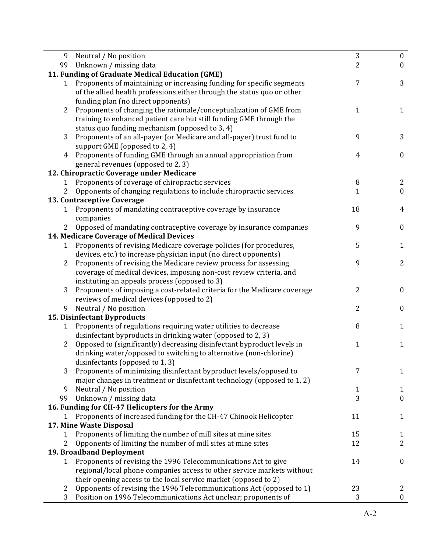| 9              | Neutral / No position                                                    | 3              | $\bf{0}$              |
|----------------|--------------------------------------------------------------------------|----------------|-----------------------|
| 99             | Unknown / missing data                                                   | $\overline{2}$ | $\bf{0}$              |
|                | 11. Funding of Graduate Medical Education (GME)                          |                |                       |
| 1              | Proponents of maintaining or increasing funding for specific segments    | 7              | 3                     |
|                | of the allied health professions either through the status quo or other  |                |                       |
|                | funding plan (no direct opponents)                                       |                |                       |
| $\overline{2}$ | Proponents of changing the rationale/conceptualization of GME from       | 1              | $\mathbf{1}$          |
|                | training to enhanced patient care but still funding GME through the      |                |                       |
|                | status quo funding mechanism (opposed to 3, 4)                           |                |                       |
| 3              | Proponents of an all-payer (or Medicare and all-payer) trust fund to     | 9              | 3                     |
|                | support GME (opposed to 2, 4)                                            |                |                       |
| 4              | Proponents of funding GME through an annual appropriation from           | 4              | $\boldsymbol{0}$      |
|                | general revenues (opposed to 2, 3)                                       |                |                       |
|                | 12. Chiropractic Coverage under Medicare                                 |                |                       |
| 1              | Proponents of coverage of chiropractic services                          | 8              | 2                     |
| 2              | Opponents of changing regulations to include chiropractic services       | $\mathbf{1}$   | $\boldsymbol{0}$      |
|                | 13. Contraceptive Coverage                                               |                |                       |
| 1              | Proponents of mandating contraceptive coverage by insurance              | 18             | $\overline{4}$        |
|                | companies                                                                |                |                       |
| 2              | Opposed of mandating contraceptive coverage by insurance companies       | 9              | $\boldsymbol{0}$      |
|                | 14. Medicare Coverage of Medical Devices                                 |                |                       |
| 1              | Proponents of revising Medicare coverage policies (for procedures,       | 5              | $\mathbf{1}$          |
|                | devices, etc.) to increase physician input (no direct opponents)         |                |                       |
| $\overline{2}$ | Proponents of revising the Medicare review process for assessing         | 9              | 2                     |
|                | coverage of medical devices, imposing non-cost review criteria, and      |                |                       |
|                | instituting an appeals process (opposed to 3)                            |                |                       |
| 3              | Proponents of imposing a cost-related criteria for the Medicare coverage | 2              | $\boldsymbol{0}$      |
|                | reviews of medical devices (opposed to 2)                                |                |                       |
| 9              | Neutral / No position                                                    | 2              | $\boldsymbol{0}$      |
|                | 15. Disinfectant Byproducts                                              |                |                       |
| 1              | Proponents of regulations requiring water utilities to decrease          | 8              | $\mathbf{1}$          |
|                | disinfectant byproducts in drinking water (opposed to 2, 3)              |                |                       |
| $\overline{2}$ | Opposed to (significantly) decreasing disinfectant byproduct levels in   | $\mathbf{1}$   | $\mathbf{1}$          |
|                | drinking water/opposed to switching to alternative (non-chlorine)        |                |                       |
|                | disinfectants (opposed to 1, 3)                                          |                |                       |
| 3              | Proponents of minimizing disinfectant byproduct levels/opposed to        | 7              | $\mathbf{1}$          |
|                | major changes in treatment or disinfectant technology (opposed to 1, 2)  |                |                       |
| 9              | Neutral / No position                                                    | 1              | 1                     |
| 99             | Unknown / missing data                                                   | 3              | $\boldsymbol{0}$      |
|                | 16. Funding for CH-47 Helicopters for the Army                           |                |                       |
| 1              | Proponents of increased funding for the CH-47 Chinook Helicopter         | 11             | 1                     |
|                | 17. Mine Waste Disposal                                                  |                |                       |
| 1              | Proponents of limiting the number of mill sites at mine sites            | 15             | 1                     |
| 2              | Opponents of limiting the number of mill sites at mine sites             | 12             | 2                     |
|                | <b>19. Broadband Deployment</b>                                          |                |                       |
| $\mathbf{1}$   | Proponents of revising the 1996 Telecommunications Act to give           | 14             | $\boldsymbol{0}$      |
|                | regional/local phone companies access to other service markets without   |                |                       |
|                |                                                                          |                |                       |
|                | their opening access to the local service market (opposed to 2)          | 23             |                       |
| 2              | Opponents of revising the 1996 Telecommunications Act (opposed to 1)     | 3              | 2<br>$\boldsymbol{0}$ |
| 3              | Position on 1996 Telecommunications Act unclear; proponents of           |                |                       |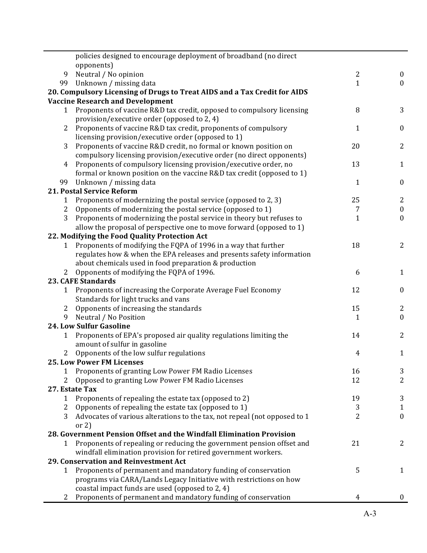|                | policies designed to encourage deployment of broadband (no direct                                                    |                |                  |
|----------------|----------------------------------------------------------------------------------------------------------------------|----------------|------------------|
|                | opponents)                                                                                                           |                |                  |
| 9              | Neutral / No opinion                                                                                                 | $\overline{2}$ | $\bf{0}$         |
| 99             | Unknown / missing data                                                                                               | 1              | $\mathbf{0}$     |
|                | 20. Compulsory Licensing of Drugs to Treat AIDS and a Tax Credit for AIDS                                            |                |                  |
|                | <b>Vaccine Research and Development</b>                                                                              |                |                  |
| $\mathbf{1}$   | Proponents of vaccine R&D tax credit, opposed to compulsory licensing<br>provision/executive order (opposed to 2, 4) | 8              | 3                |
| 2              | Proponents of vaccine R&D tax credit, proponents of compulsory                                                       | 1              | $\bf{0}$         |
|                | licensing provision/executive order (opposed to 1)                                                                   |                |                  |
| 3              | Proponents of vaccine R&D credit, no formal or known position on                                                     | 20             | $\overline{2}$   |
|                | compulsory licensing provision/executive order (no direct opponents)                                                 |                |                  |
| $\overline{4}$ | Proponents of compulsory licensing provision/executive order, no                                                     | 13             | $\mathbf{1}$     |
|                | formal or known position on the vaccine R&D tax credit (opposed to 1)                                                |                |                  |
| 99             | Unknown / missing data                                                                                               | $\mathbf{1}$   | $\boldsymbol{0}$ |
|                | 21. Postal Service Reform                                                                                            |                |                  |
| 1              | Proponents of modernizing the postal service (opposed to 2, 3)                                                       | 25             | $\overline{2}$   |
| $\overline{c}$ | Opponents of modernizing the postal service (opposed to 1)                                                           | 7              | $\boldsymbol{0}$ |
| 3              | Proponents of modernizing the postal service in theory but refuses to                                                | $\mathbf{1}$   | $\mathbf{0}$     |
|                | allow the proposal of perspective one to move forward (opposed to 1)                                                 |                |                  |
|                | 22. Modifying the Food Quality Protection Act                                                                        |                |                  |
| 1              | Proponents of modifying the FQPA of 1996 in a way that further                                                       | 18             | $\overline{2}$   |
|                | regulates how & when the EPA releases and presents safety information                                                |                |                  |
|                | about chemicals used in food preparation & production                                                                |                |                  |
|                | 2 Opponents of modifying the FQPA of 1996.                                                                           | 6              | $\mathbf{1}$     |
|                | <b>23. CAFE Standards</b>                                                                                            |                |                  |
| $\mathbf{1}$   | Proponents of increasing the Corporate Average Fuel Economy                                                          | 12             | $\boldsymbol{0}$ |
|                | Standards for light trucks and vans                                                                                  |                |                  |
| $\mathbf{2}$   | Opponents of increasing the standards                                                                                | 15             | 2                |
| 9              | Neutral / No Position                                                                                                | 1              | $\mathbf{0}$     |
|                | <b>24. Low Sulfur Gasoline</b>                                                                                       |                |                  |
| 1              | Proponents of EPA's proposed air quality regulations limiting the<br>amount of sulfur in gasoline                    | 14             | $\overline{2}$   |
|                | 2 Opponents of the low sulfur regulations                                                                            | 4              | $\mathbf{1}$     |
|                | <b>25. Low Power FM Licenses</b>                                                                                     |                |                  |
| 1              | Proponents of granting Low Power FM Radio Licenses                                                                   | 16             | 3                |
| 2              | Opposed to granting Low Power FM Radio Licenses                                                                      | 12             | $\overline{2}$   |
|                | 27. Estate Tax                                                                                                       |                |                  |
| 1              | Proponents of repealing the estate tax (opposed to 2)                                                                | 19             | 3                |
| 2              | Opponents of repealing the estate tax (opposed to 1)                                                                 | 3              | $\mathbf{1}$     |
| 3              | Advocates of various alterations to the tax, not repeal (not opposed to 1                                            | 2              | $\boldsymbol{0}$ |
|                | or $2)$                                                                                                              |                |                  |
|                | 28. Government Pension Offset and the Windfall Elimination Provision                                                 |                |                  |
| 1              | Proponents of repealing or reducing the government pension offset and                                                | 21             | 2                |
|                | windfall elimination provision for retired government workers.                                                       |                |                  |
|                | 29. Conservation and Reinvestment Act                                                                                |                |                  |
| $\mathbf{1}$   | Proponents of permanent and mandatory funding of conservation                                                        | 5              | $\mathbf{1}$     |
|                | programs via CARA/Lands Legacy Initiative with restrictions on how                                                   |                |                  |
|                | coastal impact funds are used (opposed to 2, 4)                                                                      |                |                  |
| 2              | Proponents of permanent and mandatory funding of conservation                                                        | 4              | $\overline{0}$   |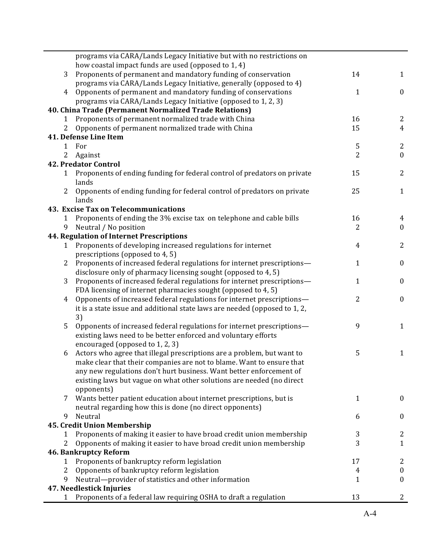|              | programs via CARA/Lands Legacy Initiative but with no restrictions on                                                                |                |                  |
|--------------|--------------------------------------------------------------------------------------------------------------------------------------|----------------|------------------|
|              | how coastal impact funds are used (opposed to 1, 4)                                                                                  |                |                  |
| 3            | Proponents of permanent and mandatory funding of conservation<br>programs via CARA/Lands Legacy Initiative, generally (opposed to 4) | 14             | $\mathbf{1}$     |
| 4            | Opponents of permanent and mandatory funding of conservations                                                                        | 1              | $\mathbf{0}$     |
|              | programs via CARA/Lands Legacy Initiative (opposed to 1, 2, 3)                                                                       |                |                  |
|              | 40. China Trade (Permanent Normalized Trade Relations)                                                                               |                |                  |
| 1            | Proponents of permanent normalized trade with China                                                                                  | 16             | 2                |
| 2            | Opponents of permanent normalized trade with China                                                                                   | 15             | $\overline{4}$   |
|              | 41. Defense Line Item                                                                                                                |                |                  |
| 1            | For                                                                                                                                  | 5              | $\mathbf{2}$     |
| 2            | Against                                                                                                                              | $\overline{2}$ | $\boldsymbol{0}$ |
|              | <b>42. Predator Control</b>                                                                                                          |                |                  |
| $\mathbf{1}$ | Proponents of ending funding for federal control of predators on private                                                             | 15             | $\overline{2}$   |
|              | lands                                                                                                                                |                |                  |
| $\mathbf{2}$ | Opponents of ending funding for federal control of predators on private                                                              | 25             | $\mathbf{1}$     |
|              | lands                                                                                                                                |                |                  |
|              | 43. Excise Tax on Telecommunications                                                                                                 |                |                  |
| 1            | Proponents of ending the 3% excise tax on telephone and cable bills                                                                  | 16             | 4                |
| 9            | Neutral / No position                                                                                                                | 2              | $\mathbf{0}$     |
|              | <b>44. Regulation of Internet Prescriptions</b>                                                                                      |                |                  |
| 1            | Proponents of developing increased regulations for internet                                                                          | 4              | $\overline{2}$   |
|              | prescriptions (opposed to 4, 5)                                                                                                      |                |                  |
| 2            | Proponents of increased federal regulations for internet prescriptions-                                                              | $\mathbf{1}$   | $\boldsymbol{0}$ |
|              | disclosure only of pharmacy licensing sought (opposed to 4, 5)                                                                       |                |                  |
| 3            | Proponents of increased federal regulations for internet prescriptions-                                                              | 1              | $\boldsymbol{0}$ |
|              | FDA licensing of internet pharmacies sought (opposed to 4, 5)                                                                        |                |                  |
| 4            | Opponents of increased federal regulations for internet prescriptions-                                                               | 2              | $\boldsymbol{0}$ |
|              | it is a state issue and additional state laws are needed (opposed to 1, 2,                                                           |                |                  |
|              | 3)                                                                                                                                   |                |                  |
| 5            | Opponents of increased federal regulations for internet prescriptions-                                                               | 9              | $\mathbf{1}$     |
|              | existing laws need to be better enforced and voluntary efforts                                                                       |                |                  |
|              | encouraged (opposed to 1, 2, 3)                                                                                                      |                |                  |
| 6            | Actors who agree that illegal prescriptions are a problem, but want to                                                               | 5              | $\mathbf{1}$     |
|              | make clear that their companies are not to blame. Want to ensure that                                                                |                |                  |
|              | any new regulations don't hurt business. Want better enforcement of                                                                  |                |                  |
|              | existing laws but vague on what other solutions are needed (no direct                                                                |                |                  |
|              | opponents)                                                                                                                           |                |                  |
|              | Wants better patient education about internet prescriptions, but is                                                                  | 1              | $\bf{0}$         |
|              | neutral regarding how this is done (no direct opponents)                                                                             |                |                  |
| 9            | Neutral                                                                                                                              | 6              | $\boldsymbol{0}$ |
|              | 45. Credit Union Membership                                                                                                          |                |                  |
|              | Proponents of making it easier to have broad credit union membership                                                                 | 3              | 2                |
| 2            | Opponents of making it easier to have broad credit union membership                                                                  | 3              | $\mathbf{1}$     |
|              | <b>46. Bankruptcy Reform</b>                                                                                                         |                |                  |
| 1            | Proponents of bankruptcy reform legislation                                                                                          | 17             | 2                |
| 2            | Opponents of bankruptcy reform legislation                                                                                           | 4              | $\boldsymbol{0}$ |
| 9            | Neutral-provider of statistics and other information                                                                                 | 1              | $\boldsymbol{0}$ |
|              | 47. Needlestick Injuries                                                                                                             |                |                  |
|              | Proponents of a federal law requiring OSHA to draft a regulation                                                                     | 13             | 2                |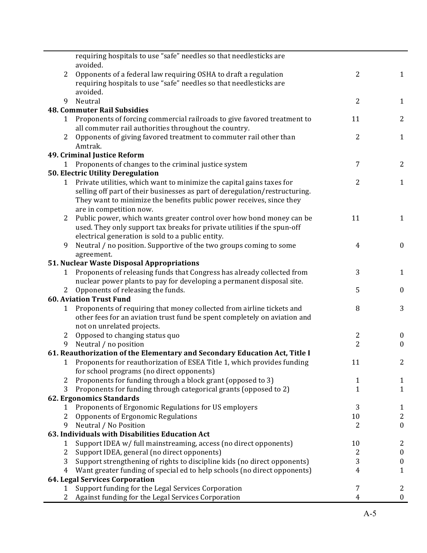|                | requiring hospitals to use "safe" needles so that needlesticks are<br>avoided. |                |                  |
|----------------|--------------------------------------------------------------------------------|----------------|------------------|
| 2              | Opponents of a federal law requiring OSHA to draft a regulation                | 2              | $\mathbf{1}$     |
|                | requiring hospitals to use "safe" needles so that needlesticks are             |                |                  |
|                | avoided.                                                                       |                |                  |
| 9              | Neutral                                                                        | 2              | $\mathbf{1}$     |
|                | <b>48. Commuter Rail Subsidies</b>                                             |                |                  |
| 1              | Proponents of forcing commercial railroads to give favored treatment to        | 11             | $\mathbf{2}$     |
|                | all commuter rail authorities throughout the country.                          |                |                  |
| 2              | Opponents of giving favored treatment to commuter rail other than              | 2              | $\mathbf{1}$     |
|                | Amtrak.                                                                        |                |                  |
|                | 49. Criminal Justice Reform                                                    |                |                  |
| $\mathbf{1}$   | Proponents of changes to the criminal justice system                           | 7              | $\mathbf{2}$     |
|                | 50. Electric Utility Deregulation                                              |                |                  |
| $\mathbf{1}$   | Private utilities, which want to minimize the capital gains taxes for          | 2              | $\mathbf{1}$     |
|                | selling off part of their businesses as part of deregulation/restructuring.    |                |                  |
|                | They want to minimize the benefits public power receives, since they           |                |                  |
|                | are in competition now.                                                        |                |                  |
| 2              | Public power, which wants greater control over how bond money can be           | 11             | $\mathbf{1}$     |
|                | used. They only support tax breaks for private utilities if the spun-off       |                |                  |
|                | electrical generation is sold to a public entity.                              |                |                  |
| 9              | Neutral / no position. Supportive of the two groups coming to some             | 4              | $\boldsymbol{0}$ |
|                | agreement.                                                                     |                |                  |
|                | 51. Nuclear Waste Disposal Appropriations                                      |                |                  |
| 1              | Proponents of releasing funds that Congress has already collected from         | 3              | $\mathbf{1}$     |
|                | nuclear power plants to pay for developing a permanent disposal site.          |                |                  |
|                | Opponents of releasing the funds.                                              | 5              | $\boldsymbol{0}$ |
|                | <b>60. Aviation Trust Fund</b>                                                 |                |                  |
| 1              | Proponents of requiring that money collected from airline tickets and          | 8              | 3                |
|                | other fees for an aviation trust fund be spent completely on aviation and      |                |                  |
|                | not on unrelated projects.                                                     |                |                  |
| $\overline{2}$ | Opposed to changing status quo                                                 | 2              | $\bf{0}$         |
| 9              | Neutral / no position                                                          | $\overline{2}$ | $\boldsymbol{0}$ |
|                | 61. Reauthorization of the Elementary and Secondary Education Act, Title I     |                |                  |
|                | Proponents for reauthorization of ESEA Title 1, which provides funding         | 11             | $\mathbf{Z}$     |
|                | for school programs (no direct opponents)                                      |                |                  |
| 2              | Proponents for funding through a block grant (opposed to 3)                    | 1              | $\mathbf{1}$     |
| 3              | Proponents for funding through categorical grants (opposed to 2)               | 1              | $\mathbf{1}$     |
|                | 62. Ergonomics Standards                                                       |                |                  |
| 1              | Proponents of Ergonomic Regulations for US employers                           | 3              | $\mathbf{1}$     |
| $\overline{2}$ | Opponents of Ergonomic Regulations                                             | 10             | $\mathbf{2}$     |
| 9              | Neutral / No Position                                                          | 2              | $\boldsymbol{0}$ |
|                | 63. Individuals with Disabilities Education Act                                |                |                  |
| 1              | Support IDEA w/ full mainstreaming, access (no direct opponents)               | 10             | $\mathbf{2}$     |
| 2              | Support IDEA, general (no direct opponents)                                    | 2              | $\bf{0}$         |
| 3              | Support strengthening of rights to discipline kids (no direct opponents)       | 3              | $\bf{0}$         |
| 4              | Want greater funding of special ed to help schools (no direct opponents)       | 4              | $\mathbf{1}$     |
|                | 64. Legal Services Corporation                                                 |                |                  |
| 1              | Support funding for the Legal Services Corporation                             | 7              | $\overline{c}$   |
| 2              | Against funding for the Legal Services Corporation                             | 4              | $\boldsymbol{0}$ |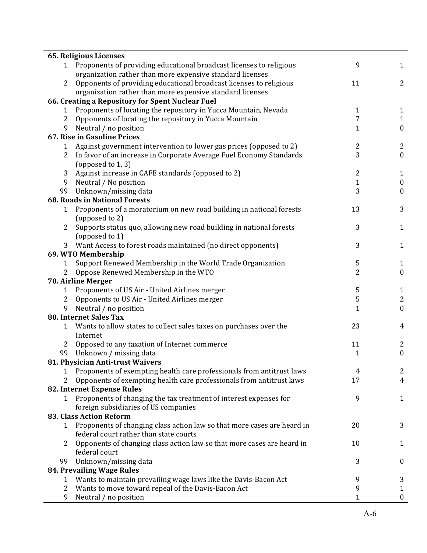|                | <b>65. Religious Licenses</b>                                           |                |                  |
|----------------|-------------------------------------------------------------------------|----------------|------------------|
|                | Proponents of providing educational broadcast licenses to religious     | 9              | $\mathbf{1}$     |
|                | organization rather than more expensive standard licenses               |                |                  |
| 2              | Opponents of providing educational broadcast licenses to religious      | 11             | 2                |
|                | organization rather than more expensive standard licenses               |                |                  |
|                | 66. Creating a Repository for Spent Nuclear Fuel                        |                |                  |
| 1              | Proponents of locating the repository in Yucca Mountain, Nevada         | 1              | $\mathbf{1}$     |
| 2              | Opponents of locating the repository in Yucca Mountain                  | 7              | $\mathbf{1}$     |
| 9              | Neutral / no position                                                   | $\mathbf{1}$   | $\boldsymbol{0}$ |
|                | 67. Rise in Gasoline Prices                                             |                |                  |
| 1              | Against government intervention to lower gas prices (opposed to 2)      | 2              | $\overline{2}$   |
| 2              | In favor of an increase in Corporate Average Fuel Economy Standards     | 3              | $\boldsymbol{0}$ |
|                | (opposed to 1, 3)                                                       |                |                  |
| 3              | Against increase in CAFE standards (opposed to 2)                       | $\overline{2}$ | $\mathbf{1}$     |
| 9              | Neutral / No position                                                   | $\mathbf{1}$   | $\boldsymbol{0}$ |
| 99             | Unknown/missing data                                                    | 3              | $\mathbf{0}$     |
|                | <b>68. Roads in National Forests</b>                                    |                |                  |
| 1              | Proponents of a moratorium on new road building in national forests     | 13             | 3                |
|                | (opposed to 2)                                                          |                |                  |
| $\overline{2}$ | Supports status quo, allowing new road building in national forests     | 3              | 1                |
|                | (opposed to 1)                                                          |                |                  |
|                | 3 Want Access to forest roads maintained (no direct opponents)          | 3              | $\mathbf{1}$     |
|                | 69. WTO Membership                                                      |                |                  |
| 1              | Support Renewed Membership in the World Trade Organization              | 5              | 1                |
| 2              | Oppose Renewed Membership in the WTO                                    | 2              | $\boldsymbol{0}$ |
|                | 70. Airline Merger                                                      |                |                  |
| 1              | Proponents of US Air - United Airlines merger                           | 5              | $\mathbf{1}$     |
| 2              | Opponents to US Air - United Airlines merger                            | $\mathsf S$    | 2                |
| 9              | Neutral / no position                                                   | $\mathbf{1}$   | $\mathbf{0}$     |
|                | <b>80. Internet Sales Tax</b>                                           |                |                  |
| 1              | Wants to allow states to collect sales taxes on purchases over the      | 23             | 4                |
|                | Internet                                                                |                |                  |
| 2              | Opposed to any taxation of Internet commerce                            | 11             | 2                |
| 99             | Unknown / missing data                                                  | $\mathbf{1}$   | $\boldsymbol{0}$ |
|                | 81. Physician Anti-trust Waivers                                        |                |                  |
| 1              | Proponents of exempting health care professionals from antitrust laws   | 4              | 2                |
| 2              | Opponents of exempting health care professionals from antitrust laws    | 17             | $\overline{4}$   |
|                | 82. Internet Expense Rules                                              |                |                  |
| 1              | Proponents of changing the tax treatment of interest expenses for       | 9              | 1                |
|                | foreign subsidiaries of US companies                                    |                |                  |
|                | <b>83. Class Action Reform</b>                                          |                |                  |
| $\mathbf{1}$   | Proponents of changing class action law so that more cases are heard in | 20             | 3                |
|                | federal court rather than state courts                                  |                |                  |
| 2              | Opponents of changing class action law so that more cases are heard in  | 10             | $\mathbf{1}$     |
|                | federal court                                                           |                |                  |
| 99             | Unknown/missing data                                                    | 3              | $\boldsymbol{0}$ |
|                | 84. Prevailing Wage Rules                                               |                |                  |
| 1              | Wants to maintain prevailing wage laws like the Davis-Bacon Act         | 9              | 3                |
| 2              | Wants to move toward repeal of the Davis-Bacon Act                      | 9              | $\mathbf{1}$     |
| 9              | Neutral / no position                                                   | 1              | 0                |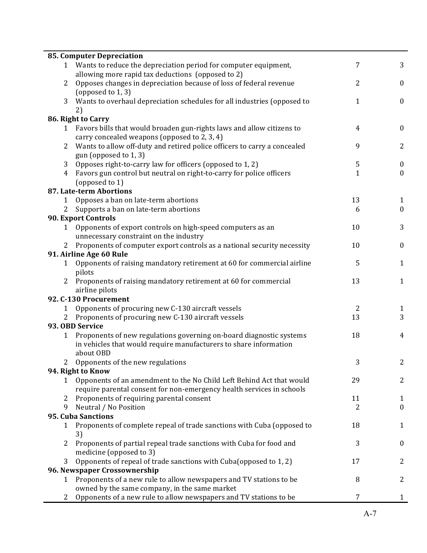|                | <b>85. Computer Depreciation</b>                                                  |              |                  |
|----------------|-----------------------------------------------------------------------------------|--------------|------------------|
| 1              | Wants to reduce the depreciation period for computer equipment,                   | 7            | 3                |
|                | allowing more rapid tax deductions (opposed to 2)                                 |              |                  |
| 2              | Opposes changes in depreciation because of loss of federal revenue                | 2            | $\bf{0}$         |
|                | (opposed to 1, 3)                                                                 |              |                  |
| 3              | Wants to overhaul depreciation schedules for all industries (opposed to           | $\mathbf{1}$ | $\boldsymbol{0}$ |
|                | 2)                                                                                |              |                  |
|                | 86. Right to Carry                                                                |              |                  |
| 1              | Favors bills that would broaden gun-rights laws and allow citizens to             | 4            | $\bf{0}$         |
|                | carry concealed weapons (opposed to 2, 3, 4)                                      |              |                  |
| $\overline{2}$ | Wants to allow off-duty and retired police officers to carry a concealed          | 9            | $\overline{2}$   |
|                | gun (opposed to 1, 3)                                                             |              |                  |
| 3              | Opposes right-to-carry law for officers (opposed to 1, 2)                         | 5            | $\boldsymbol{0}$ |
| $\overline{4}$ | Favors gun control but neutral on right-to-carry for police officers              | $\mathbf{1}$ | $\bf{0}$         |
|                | (opposed to 1)                                                                    |              |                  |
|                | <b>87. Late-term Abortions</b>                                                    |              |                  |
| 1              | Opposes a ban on late-term abortions                                              | 13           | 1                |
| 2              | Supports a ban on late-term abortions                                             | 6            | $\bf{0}$         |
|                | 90. Export Controls                                                               |              |                  |
| $\mathbf{1}$   | Opponents of export controls on high-speed computers as an                        | 10           | 3                |
|                | unnecessary constraint on the industry                                            |              |                  |
|                | Proponents of computer export controls as a national security necessity           | 10           | $\boldsymbol{0}$ |
|                | 91. Airline Age 60 Rule                                                           |              |                  |
| 1              | Opponents of raising mandatory retirement at 60 for commercial airline            | 5            | 1                |
|                | pilots                                                                            |              |                  |
| 2              | Proponents of raising mandatory retirement at 60 for commercial<br>airline pilots | 13           | $\mathbf{1}$     |
|                | 92. C-130 Procurement                                                             |              |                  |
| 1              | Opponents of procuring new C-130 aircraft vessels                                 | 2            | 1                |
| 2              | Proponents of procuring new C-130 aircraft vessels                                | 13           | 3                |
|                | 93. OBD Service                                                                   |              |                  |
| 1              | Proponents of new regulations governing on-board diagnostic systems               | 18           | 4                |
|                | in vehicles that would require manufacturers to share information                 |              |                  |
|                | about OBD                                                                         |              |                  |
|                | Opponents of the new regulations                                                  | 3            | 2                |
|                | 94. Right to Know                                                                 |              |                  |
| 1              | Opponents of an amendment to the No Child Left Behind Act that would              | 29           | 2                |
|                | require parental consent for non-emergency health services in schools             |              |                  |
| 2              | Proponents of requiring parental consent                                          | 11           | $\mathbf{1}$     |
| 9              | Neutral / No Position                                                             | 2            | $\mathbf{0}$     |
|                | 95. Cuba Sanctions                                                                |              |                  |
| 1              | Proponents of complete repeal of trade sanctions with Cuba (opposed to            | 18           | $\mathbf{1}$     |
|                | 3)                                                                                |              |                  |
| 2              | Proponents of partial repeal trade sanctions with Cuba for food and               | 3            | $\bf{0}$         |
|                | medicine (opposed to 3)                                                           |              |                  |
| 3              | Opponents of repeal of trade sanctions with Cuba(opposed to 1, 2)                 | 17           | 2                |
|                | 96. Newspaper Crossownership                                                      |              |                  |
| 1              | Proponents of a new rule to allow newspapers and TV stations to be                | 8            | 2                |
|                | owned by the same company, in the same market                                     |              |                  |
| 2              | Opponents of a new rule to allow newspapers and TV stations to be                 | 7            | $\mathbf{1}$     |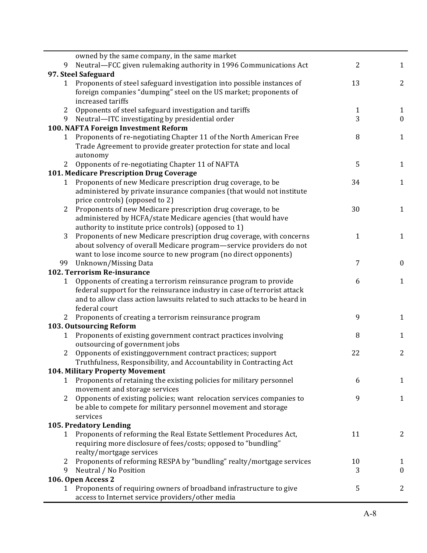| 9              | owned by the same company, in the same market<br>Neutral-FCC given rulemaking authority in 1996 Communications Act                                    | 2            | $\mathbf{1}$   |
|----------------|-------------------------------------------------------------------------------------------------------------------------------------------------------|--------------|----------------|
|                | 97. Steel Safeguard                                                                                                                                   |              |                |
| $\mathbf{1}$   | Proponents of steel safeguard investigation into possible instances of                                                                                | 13           | 2              |
|                | foreign companies "dumping" steel on the US market; proponents of                                                                                     |              |                |
|                | increased tariffs                                                                                                                                     |              |                |
| 2              | Opponents of steel safeguard investigation and tariffs                                                                                                | $\mathbf{1}$ | 1              |
| 9              | Neutral-ITC investigating by presidential order                                                                                                       | 3            | $\mathbf{0}$   |
|                | 100. NAFTA Foreign Investment Reform                                                                                                                  |              |                |
| 1              | Proponents of re-negotiating Chapter 11 of the North American Free                                                                                    | 8            | $\mathbf{1}$   |
|                | Trade Agreement to provide greater protection for state and local                                                                                     |              |                |
|                | autonomy                                                                                                                                              |              |                |
| 2              | Opponents of re-negotiating Chapter 11 of NAFTA                                                                                                       | 5            | $\mathbf{1}$   |
|                | 101. Medicare Prescription Drug Coverage                                                                                                              |              |                |
| $\mathbf{1}$   | Proponents of new Medicare prescription drug coverage, to be                                                                                          | 34           | $\mathbf{1}$   |
|                | administered by private insurance companies (that would not institute                                                                                 |              |                |
|                | price controls) (opposed to 2)                                                                                                                        |              |                |
| 2              | Proponents of new Medicare prescription drug coverage, to be                                                                                          | 30           | $\mathbf{1}$   |
|                | administered by HCFA/state Medicare agencies (that would have                                                                                         |              |                |
|                | authority to institute price controls) (opposed to 1)                                                                                                 |              |                |
| 3              | Proponents of new Medicare prescription drug coverage, with concerns                                                                                  | $\mathbf{1}$ | $\mathbf{1}$   |
|                | about solvency of overall Medicare program-service providers do not                                                                                   |              |                |
|                | want to lose income source to new program (no direct opponents)                                                                                       |              |                |
| 99             | Unknown/Missing Data                                                                                                                                  | 7            | $\bf{0}$       |
|                | 102. Terrorism Re-insurance                                                                                                                           |              |                |
| 1              | Opponents of creating a terrorism reinsurance program to provide                                                                                      | 6            | $\mathbf{1}$   |
|                | federal support for the reinsurance industry in case of terrorist attack<br>and to allow class action lawsuits related to such attacks to be heard in |              |                |
|                | federal court                                                                                                                                         |              |                |
|                | Proponents of creating a terrorism reinsurance program                                                                                                | 9            | $\mathbf{1}$   |
|                | 103. Outsourcing Reform                                                                                                                               |              |                |
| 1              | Proponents of existing government contract practices involving                                                                                        | 8            | $\mathbf{1}$   |
|                | outsourcing of government jobs                                                                                                                        |              |                |
| $\overline{2}$ | Opponents of existinggovernment contract practices; support                                                                                           | 22           | $\overline{2}$ |
|                | Truthfulness, Responsibility, and Accountability in Contracting Act                                                                                   |              |                |
|                | <b>104. Military Property Movement</b>                                                                                                                |              |                |
| $\mathbf{1}$   | Proponents of retaining the existing policies for military personnel                                                                                  | 6            | $\mathbf{1}$   |
|                | movement and storage services                                                                                                                         |              |                |
| 2              | Opponents of existing policies; want relocation services companies to                                                                                 | 9            | $\mathbf{1}$   |
|                | be able to compete for military personnel movement and storage                                                                                        |              |                |
|                | services                                                                                                                                              |              |                |
|                | 105. Predatory Lending                                                                                                                                |              |                |
| 1              | Proponents of reforming the Real Estate Settlement Procedures Act,                                                                                    | 11           | 2              |
|                | requiring more disclosure of fees/costs; opposed to "bundling"                                                                                        |              |                |
|                | realty/mortgage services                                                                                                                              |              |                |
| 2              | Proponents of reforming RESPA by "bundling" realty/mortgage services                                                                                  | 10           | 1              |
| 9              | Neutral / No Position                                                                                                                                 | 3            | $\mathbf{0}$   |
|                | 106. Open Access 2                                                                                                                                    |              |                |
| 1              | Proponents of requiring owners of broadband infrastructure to give                                                                                    | 5            | 2              |
|                | access to Internet service providers/other media                                                                                                      |              |                |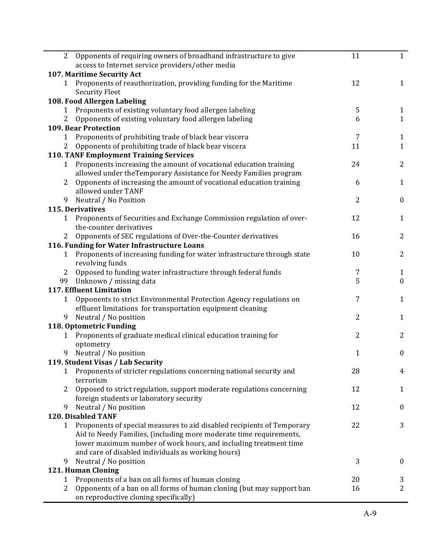| 2              | Opponents of requiring owners of broadband infrastructure to give                            | 11             | $\mathbf{1}$                 |
|----------------|----------------------------------------------------------------------------------------------|----------------|------------------------------|
|                | access to Internet service providers/other media                                             |                |                              |
|                | 107. Maritime Security Act                                                                   |                |                              |
|                | 1 Proponents of reauthorization, providing funding for the Maritime<br><b>Security Fleet</b> | 12             | $\mathbf{1}$                 |
|                | 108. Food Allergen Labeling                                                                  |                |                              |
|                |                                                                                              |                |                              |
| 1              | Proponents of existing voluntary food allergen labeling                                      | 5<br>6         | $\mathbf{1}$<br>$\mathbf{1}$ |
|                | Opponents of existing voluntary food allergen labeling<br><b>109. Bear Protection</b>        |                |                              |
| 1              | Proponents of prohibiting trade of black bear viscera                                        | 7              |                              |
| 2              | Opponents of prohibiting trade of black bear viscera                                         | 11             | $\mathbf{1}$<br>$\mathbf{1}$ |
|                | <b>110. TANF Employment Training Services</b>                                                |                |                              |
|                |                                                                                              | 24             | $\overline{2}$               |
| $\mathbf{1}$   | Proponents increasing the amount of vocational education training                            |                |                              |
|                | allowed under theTemporary Assistance for Needy Families program                             |                |                              |
| $\overline{2}$ | Opponents of increasing the amount of vocational education training                          | 6              | $\mathbf{1}$                 |
|                | allowed under TANF                                                                           |                |                              |
| 9              | Neutral / No Position                                                                        | $\overline{2}$ | $\boldsymbol{0}$             |
|                | 115. Derivatives                                                                             |                |                              |
| $\mathbf{1}$   | Proponents of Securities and Exchange Commission regulation of over-                         | 12             | $\mathbf{1}$                 |
|                | the-counter derivatives                                                                      |                |                              |
|                | Opponents of SEC regulations of Over-the-Counter derivatives                                 | 16             | $\overline{2}$               |
|                | 116. Funding for Water Infrastructure Loans                                                  |                |                              |
| 1              | Proponents of increasing funding for water infrastructure through state                      | 10             | $\overline{2}$               |
|                | revolving funds                                                                              |                |                              |
| $\mathbf{2}$   | Opposed to funding water infrastructure through federal funds                                | 7              | $\mathbf{1}$                 |
|                | 99 Unknown / missing data                                                                    | 5              | $\boldsymbol{0}$             |
|                | <b>117. Effluent Limitation</b>                                                              |                |                              |
| 1              | Opponents to strict Environmental Protection Agency regulations on                           | 7              | $\mathbf{1}$                 |
|                | effluent limitations for transportation equipment cleaning                                   |                |                              |
| 9              | Neutral / No position                                                                        | $\overline{2}$ | $\mathbf{1}$                 |
|                | 118. Optometric Funding                                                                      |                |                              |
| 1              | Proponents of graduate medical clinical education training for                               | 2              | $\overline{2}$               |
|                | optometry                                                                                    |                |                              |
| 9              | Neutral / No position                                                                        | 1              | $\boldsymbol{0}$             |
|                | 119. Student Visas / Lab Security                                                            |                |                              |
|                | 1 Proponents of stricter regulations concerning national security and                        | 28             | 4                            |
|                | terrorism                                                                                    |                |                              |
| 2              | Opposed to strict regulation, support moderate regulations concerning                        | 12             | $\mathbf{1}$                 |
|                | foreign students or laboratory security                                                      |                |                              |
| 9              | Neutral / No position                                                                        | 12             | $\bf{0}$                     |
|                | <b>120. Disabled TANF</b>                                                                    |                |                              |
| 1              | Proponents of special measures to aid disabled recipients of Temporary                       | 22             | 3                            |
|                | Aid to Needy Families, (including more moderate time requirements,                           |                |                              |
|                | lower maximum number of work hours, and including treatment time                             |                |                              |
|                | and care of disabled individuals as working hours)                                           |                |                              |
| 9              | Neutral / No position                                                                        | 3              | $\boldsymbol{0}$             |
|                | 121. Human Cloning                                                                           |                |                              |
| $\mathbf{1}$   | Proponents of a ban on all forms of human cloning                                            | 20             | 3                            |
| 2              | Opponents of a ban on all forms of human cloning (but may support ban                        | 16             | 2                            |
|                | on reproductive cloning specifically)                                                        |                |                              |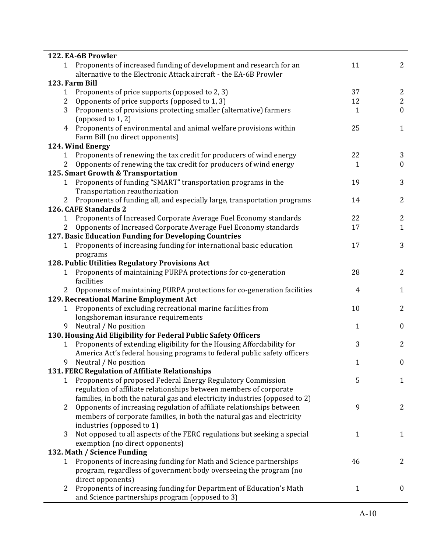|                | 122. EA-6B Prowler                                                                                  |    |                  |
|----------------|-----------------------------------------------------------------------------------------------------|----|------------------|
|                | 1 Proponents of increased funding of development and research for an                                | 11 | $\overline{2}$   |
|                | alternative to the Electronic Attack aircraft - the EA-6B Prowler                                   |    |                  |
|                | 123. Farm Bill                                                                                      |    |                  |
| 1              | Proponents of price supports (opposed to 2, 3)                                                      | 37 | 2                |
| $\overline{2}$ | Opponents of price supports (opposed to 1, 3)                                                       | 12 | $\overline{2}$   |
| 3              | Proponents of provisions protecting smaller (alternative) farmers                                   | 1  | $\boldsymbol{0}$ |
|                | (opposed to 1, 2)                                                                                   |    |                  |
| 4              | Proponents of environmental and animal welfare provisions within<br>Farm Bill (no direct opponents) | 25 | $\mathbf{1}$     |
|                | 124. Wind Energy                                                                                    |    |                  |
| $\mathbf{1}$   | Proponents of renewing the tax credit for producers of wind energy                                  | 22 | 3                |
| $\overline{2}$ | Opponents of renewing the tax credit for producers of wind energy                                   | 1  | $\boldsymbol{0}$ |
|                | 125. Smart Growth & Transportation                                                                  |    |                  |
|                | 1 Proponents of funding "SMART" transportation programs in the                                      | 19 | 3                |
|                | Transportation reauthorization                                                                      |    |                  |
|                | Proponents of funding all, and especially large, transportation programs                            | 14 | $\overline{2}$   |
|                | 126. CAFE Standards 2                                                                               |    |                  |
| 1              | Proponents of Increased Corporate Average Fuel Economy standards                                    | 22 | 2                |
| 2              | Opponents of Increased Corporate Average Fuel Economy standards                                     | 17 | $\mathbf{1}$     |
|                | 127. Basic Education Funding for Developing Countries                                               |    |                  |
| 1              | Proponents of increasing funding for international basic education                                  | 17 | 3                |
|                | programs                                                                                            |    |                  |
|                | 128. Public Utilities Regulatory Provisions Act                                                     |    |                  |
| 1              | Proponents of maintaining PURPA protections for co-generation                                       | 28 | $\overline{2}$   |
|                | facilities                                                                                          |    |                  |
| $\overline{2}$ | Opponents of maintaining PURPA protections for co-generation facilities                             | 4  | $\mathbf{1}$     |
|                | 129. Recreational Marine Employment Act                                                             |    |                  |
|                | Proponents of excluding recreational marine facilities from                                         | 10 | $\overline{2}$   |
| 1              |                                                                                                     |    |                  |
| 9              | longshoreman insurance requirements                                                                 |    |                  |
|                | Neutral / No position                                                                               | 1  | $\boldsymbol{0}$ |
|                | 130. Housing Aid Eligibility for Federal Public Safety Officers                                     |    |                  |
| $\mathbf{1}$   | Proponents of extending eligibility for the Housing Affordability for                               | 3  | $\overline{2}$   |
|                | America Act's federal housing programs to federal public safety officers                            |    |                  |
|                | Neutral / No position                                                                               | 1  | $\pmb{0}$        |
|                | 131. FERC Regulation of Affiliate Relationships                                                     |    |                  |
| 1              | Proponents of proposed Federal Energy Regulatory Commission                                         | 5  | $\mathbf{1}$     |
|                | regulation of affiliate relationships between members of corporate                                  |    |                  |
|                | families, in both the natural gas and electricity industries (opposed to 2)                         |    |                  |
| 2              | Opponents of increasing regulation of affiliate relationships between                               | 9  | 2                |
|                | members of corporate families, in both the natural gas and electricity                              |    |                  |
|                | industries (opposed to 1)                                                                           |    |                  |
| 3              | Not opposed to all aspects of the FERC regulations but seeking a special                            | 1  | $\mathbf{1}$     |
|                | exemption (no direct opponents)                                                                     |    |                  |
|                | 132. Math / Science Funding                                                                         |    |                  |
| 1              | Proponents of increasing funding for Math and Science partnerships                                  | 46 | 2                |
|                | program, regardless of government body overseeing the program (no                                   |    |                  |
|                | direct opponents)                                                                                   |    |                  |
| 2              | Proponents of increasing funding for Department of Education's Math                                 | 1  | $\boldsymbol{0}$ |
|                | and Science partnerships program (opposed to 3)                                                     |    |                  |